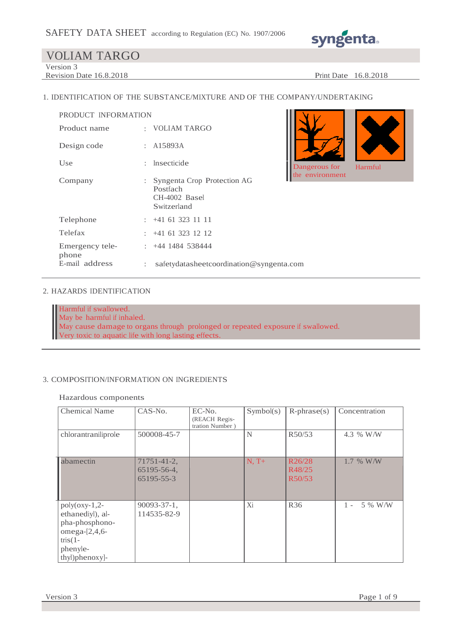

Version 3

Revision Date 16.8.2018 Print Date 16.8.2018

#### 1. IDENTIFICATION OF THE SUBSTANCE/MIXTURE AND OF THE COMPANY/UNDERTAKING

| PRODUCT INFORMATION      |    |                                                                         |
|--------------------------|----|-------------------------------------------------------------------------|
| Product name             |    | : VOLIAM TARGO                                                          |
| Design code              |    | : A15893A                                                               |
| Use                      |    | : Insecticide                                                           |
| Company                  | t. | Syngenta Crop Protection AG<br>Postfach<br>CH-4002 Basel<br>Switzerland |
| Telephone                |    | $: +41613231111$                                                        |
| Telefax                  |    | $: +41613231212$                                                        |
| Emergency tele-<br>phone |    | $\div$ +44 1484 538444                                                  |
| E-mail address           | ÷  | safetydatasheetcoordination@syngenta.com                                |



#### 2. HAZARDS IDENTIFICATION

Harmful if swallowed. May be harmful if inhaled. May cause damage to organs through prolonged or repeated exposure if swallowed. Very toxic to aquatic life with long lasting effects.

#### 3. COMPOSITION/INFORMATION ON INGREDIENTS

Hazardous components

| <b>Chemical Name</b>                                                                                                   | CAS-No.                                  | EC-No.<br>(REACH Regis-<br>tration Number) | Symbol(s) | $R$ -phrase $(s)$          | Concentration    |
|------------------------------------------------------------------------------------------------------------------------|------------------------------------------|--------------------------------------------|-----------|----------------------------|------------------|
| chlorantraniliprole                                                                                                    | 500008-45-7                              |                                            | N         | R50/53                     | 4.3 % W/W        |
| abamectin                                                                                                              | 71751-41-2,<br>65195-56-4,<br>65195-55-3 |                                            | $N, T+$   | R26/28<br>R48/25<br>R50/53 | $1.7\%$ W/W      |
| $poly($ oxy-1,2-<br>ethanediyl), al-<br>pha-phosphono-<br>omega- $[2,4,6-$<br>$tris(1 -$<br>phenyle-<br>thyl)phenoxy]- | $90093 - 37 - 1$ ,<br>114535-82-9        |                                            | Xi        | <b>R36</b>                 | 5 % W/W<br>$1 -$ |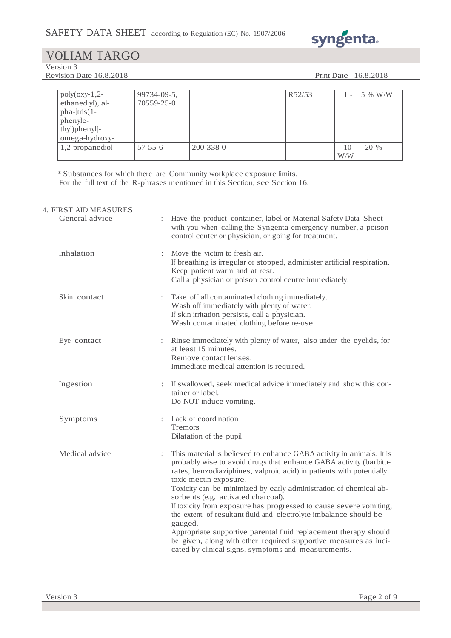

Version 3

Revision Date 16.8.2018 Print Date 16.8.2018

| $poly($ oxy-1,2-<br>ethanediyl), al-<br>$pha-[tris(1-$<br>phenyle-<br>thyl)phenyl]-<br>omega-hydroxy- | 99734-09-5,<br>70559-25-0 |           | R52/53 | 5 % W/W               |
|-------------------------------------------------------------------------------------------------------|---------------------------|-----------|--------|-----------------------|
| 1,2-propanediol                                                                                       | $57 - 55 - 6$             | 200-338-0 |        | 20 %<br>$10 -$<br>W/W |

\* Substances for which there are Community workplace exposure limits. For the full text of the R-phrases mentioned in this Section, see Section 16.

| <b>4. FIRST AID MEASURES</b> |                                                                                                                                                                                                                                                                                                                                                                                                                                                                                                                                                                                                                                                                                                              |
|------------------------------|--------------------------------------------------------------------------------------------------------------------------------------------------------------------------------------------------------------------------------------------------------------------------------------------------------------------------------------------------------------------------------------------------------------------------------------------------------------------------------------------------------------------------------------------------------------------------------------------------------------------------------------------------------------------------------------------------------------|
| General advice               | : Have the product container, label or Material Safety Data Sheet<br>with you when calling the Syngenta emergency number, a poison<br>control center or physician, or going for treatment.                                                                                                                                                                                                                                                                                                                                                                                                                                                                                                                   |
| Inhalation                   | Move the victim to fresh air.<br>$\ddot{\cdot}$<br>If breathing is irregular or stopped, administer artificial respiration.<br>Keep patient warm and at rest.<br>Call a physician or poison control centre immediately.                                                                                                                                                                                                                                                                                                                                                                                                                                                                                      |
| Skin contact                 | Take off all contaminated clothing immediately.<br>:<br>Wash off immediately with plenty of water.<br>If skin irritation persists, call a physician.<br>Wash contaminated clothing before re-use.                                                                                                                                                                                                                                                                                                                                                                                                                                                                                                            |
| Eye contact                  | : Rinse immediately with plenty of water, also under the eyelids, for<br>at least 15 minutes.<br>Remove contact lenses.<br>Immediate medical attention is required.                                                                                                                                                                                                                                                                                                                                                                                                                                                                                                                                          |
| Ingestion                    | : If swallowed, seek medical advice immediately and show this con-<br>tainer or label.<br>Do NOT induce vomiting.                                                                                                                                                                                                                                                                                                                                                                                                                                                                                                                                                                                            |
| Symptoms                     | Lack of coordination<br>$\ddot{\cdot}$<br>Tremors<br>Dilatation of the pupil                                                                                                                                                                                                                                                                                                                                                                                                                                                                                                                                                                                                                                 |
| Medical advice               | This material is believed to enhance GABA activity in animals. It is<br>probably wise to avoid drugs that enhance GABA activity (barbitu-<br>rates, benzodiaziphines, valproic acid) in patients with potentially<br>toxic mectin exposure.<br>Toxicity can be minimized by early administration of chemical ab-<br>sorbents (e.g. activated charcoal).<br>If toxicity from exposure has progressed to cause severe vomiting,<br>the extent of resultant fluid and electrolyte imbalance should be<br>gauged.<br>Appropriate supportive parental fluid replacement therapy should<br>be given, along with other required supportive measures as indi-<br>cated by clinical signs, symptoms and measurements. |
|                              |                                                                                                                                                                                                                                                                                                                                                                                                                                                                                                                                                                                                                                                                                                              |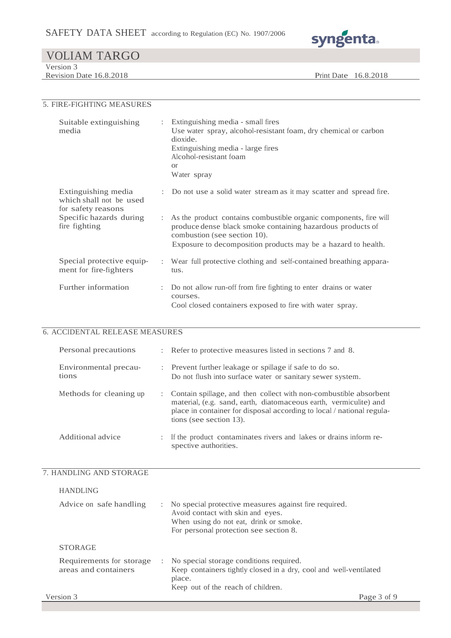

| <u>VOLTIMI TIMOO</u>    |                      |  |
|-------------------------|----------------------|--|
| Version 3               |                      |  |
| Revision Date 16.8.2018 | Print Date 16.8.2018 |  |
|                         |                      |  |

# 5. FIRE-FIGHTING MEASURES

| Suitable extinguishing<br>media                                      |   | : Extinguishing media - small fires<br>Use water spray, alcohol-resistant foam, dry chemical or carbon<br>dioxide.<br>Extinguishing media - large fires<br>Alcohol-resistant foam<br>$\alpha$<br>Water spray                       |
|----------------------------------------------------------------------|---|------------------------------------------------------------------------------------------------------------------------------------------------------------------------------------------------------------------------------------|
| Extinguishing media<br>which shall not be used<br>for safety reasons |   | : Do not use a solid water stream as it may scatter and spread fire.                                                                                                                                                               |
| Specific hazards during<br>fire fighting                             |   | : As the product contains combustible organic components, fire will<br>produce dense black smoke containing hazardous products of<br>combustion (see section 10).<br>Exposure to decomposition products may be a hazard to health. |
| Special protective equip-<br>ment for fire-fighters                  |   | : Wear full protective clothing and self-contained breathing appara-<br>tus.                                                                                                                                                       |
| Further information                                                  | ÷ | Do not allow run-off from fire fighting to enter drains or water<br>courses.<br>Cool closed containers exposed to fire with water spray.                                                                                           |

# 6. ACCIDENTAL RELEASE MEASURES

| Personal precautions           |   | : Refer to protective measures listed in sections 7 and 8.                                                                                                                                                                                   |
|--------------------------------|---|----------------------------------------------------------------------------------------------------------------------------------------------------------------------------------------------------------------------------------------------|
| Environmental precau-<br>tions |   | : Prevent further leakage or spillage if safe to do so.<br>Do not flush into surface water or sanitary sewer system.                                                                                                                         |
| Methods for cleaning up        |   | : Contain spillage, and then collect with non-combustible absorbent<br>material, (e.g. sand, earth, diatomaceous earth, vermiculite) and<br>place in container for disposal according to local / national regula-<br>tions (see section 13). |
| Additional advice              | ÷ | If the product contaminates rivers and lakes or drains inform re-<br>spective authorities.                                                                                                                                                   |

### 7. HANDLING AND STORAGE

| <b>HANDLING</b>                                  |                                                                                                                                                                                  |
|--------------------------------------------------|----------------------------------------------------------------------------------------------------------------------------------------------------------------------------------|
| Advice on safe handling                          | : No special protective measures against fire required.<br>Avoid contact with skin and eyes.<br>When using do not eat, drink or smoke.<br>For personal protection see section 8. |
| <b>STORAGE</b>                                   |                                                                                                                                                                                  |
| Requirements for storage<br>areas and containers | : No special storage conditions required.<br>Keep containers tightly closed in a dry, cool and well-ventilated<br>place.<br>Keep out of the reach of children.                   |
| Version 3                                        | Page 3 of 9                                                                                                                                                                      |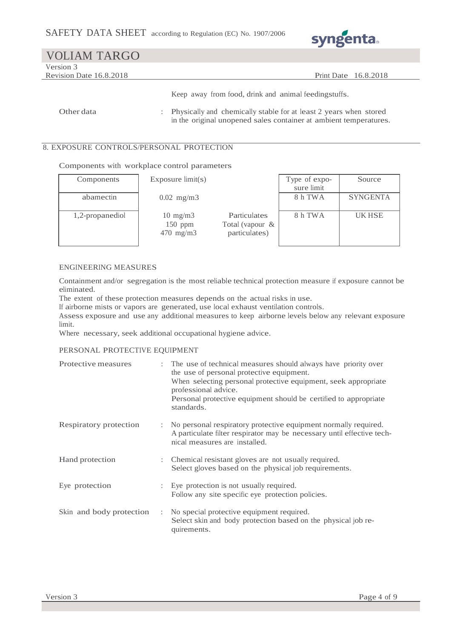

| <b>VOLIAM TARGO</b>     |                                                    |
|-------------------------|----------------------------------------------------|
| Version 3               |                                                    |
| Revision Date 16.8.2018 | <b>Print Date</b> 16.8.2018                        |
|                         |                                                    |
|                         | Keep away from food drips and animal foodinastuffs |

Keep away from food, drink and animal feedingstuffs.

Other data : Physically and chemically stable for at least 2 years when stored in the original unopened sales container at ambient temperatures.

### 8. EXPOSURE CONTROLS/PERSONAL PROTECTION

Components with workplace control parameters

| Components      | Exposure $\text{limit}(s)$                    |                                                  | Type of expo-<br>sure limit | Source          |
|-----------------|-----------------------------------------------|--------------------------------------------------|-----------------------------|-----------------|
| abamectin       | $0.02$ mg/m3                                  |                                                  | 8 h TWA                     | <b>SYNGENTA</b> |
| 1,2-propanediol | $10 \text{ mg/m}$<br>$150$ ppm<br>$470$ mg/m3 | Particulates<br>Total (vapour &<br>particulates) | 8 h TWA                     | <b>UKHSE</b>    |

#### ENGINEERING MEASURES

Containment and/or segregation is the most reliable technical protection measure if exposure cannot be eliminated.

The extent of these protection measures depends on the actual risks in use.

If airborne mists or vapors are generated, use local exhaust ventilation controls.

Assess exposure and use any additional measures to keep airborne levels below any relevant exposure limit.

Where necessary, seek additional occupational hygiene advice.

#### PERSONAL PROTECTIVE EQUIPMENT

| Protective measures      | : The use of technical measures should always have priority over<br>the use of personal protective equipment.<br>When selecting personal protective equipment, seek appropriate<br>professional advice.<br>Personal protective equipment should be certified to appropriate<br>standards. |
|--------------------------|-------------------------------------------------------------------------------------------------------------------------------------------------------------------------------------------------------------------------------------------------------------------------------------------|
| Respiratory protection   | No personal respiratory protective equipment normally required.<br>A particulate filter respirator may be necessary until effective tech-<br>nical measures are installed.                                                                                                                |
| Hand protection          | : Chemical resistant gloves are not usually required.<br>Select gloves based on the physical job requirements.                                                                                                                                                                            |
| Eye protection           | : Eye protection is not usually required.<br>Follow any site specific eye protection policies.                                                                                                                                                                                            |
| Skin and body protection | : No special protective equipment required.<br>Select skin and body protection based on the physical job re-<br>quirements.                                                                                                                                                               |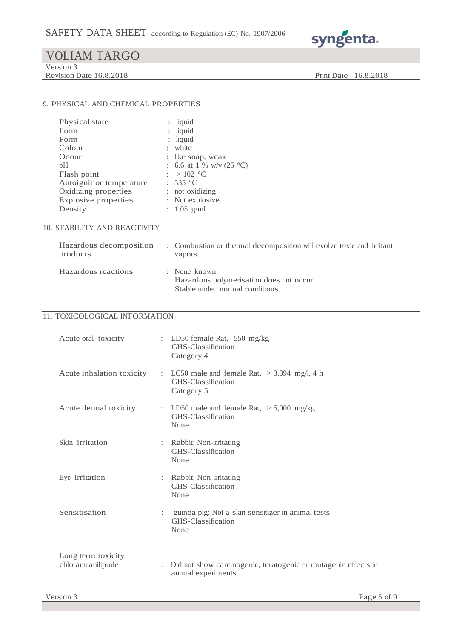

Version 3

Revision Date 16.8.2018 Print Date 16.8.2018

### 9. PHYSICAL AND CHEMICAL PROPERTIES

| Physical state              | $:$ liquid                         |
|-----------------------------|------------------------------------|
| Form                        | $:$ liquid                         |
| Form                        | $:$ liquid                         |
| Colour                      | : white                            |
| Odour                       | : like soap, weak                  |
| pH                          | : 6.6 at 1 % w/v (25 $^{\circ}$ C) |
| Flash point                 | : $>102$ °C                        |
| Autoignition temperature    | : 535 °C                           |
| Oxidizing properties        | : not oxidizing                    |
| <b>Explosive properties</b> | : Not explosive                    |
| Density                     | : $1.05$ g/ml                      |
|                             |                                    |

### 10. STABILITY AND REACTIVITY

| products            | Hazardous decomposition : Combustion or thermal decomposition will evolve toxic and irritant<br>vapors. |
|---------------------|---------------------------------------------------------------------------------------------------------|
| Hazardous reactions | $\therefore$ None known.<br>Hazardous polymerisation does not occur.<br>Stable under normal conditions. |

## 11. TOXICOLOGICAL INFORMATION

| Acute oral toxicity                       |                           | : LD50 female Rat, $550 \text{ mg/kg}$<br>GHS-Classification<br>Category 4              |
|-------------------------------------------|---------------------------|-----------------------------------------------------------------------------------------|
| Acute inhalation toxicity                 |                           | : LC50 male and female Rat, $>$ 3.394 mg/l, 4 h<br>GHS-Classification<br>Category 5     |
| Acute dermal toxicity                     |                           | : LD50 male and female Rat, $> 5,000$ mg/kg<br>GHS-Classification<br>None               |
| Skin irritation                           |                           | : Rabbit: Non-irritating<br>GHS-Classification<br>None                                  |
| Eye irritation                            | ÷                         | Rabbit: Non-irritating<br>GHS-Classification<br>None                                    |
| Sensitisation                             | $\mathbb{R}^{\mathbb{Z}}$ | guinea pig: Not a skin sensitizer in animal tests.<br>GHS-Classification<br>None        |
| Long term toxicity<br>chlorantraniliprole |                           | : Did not show carcinogenic, teratogenic or mutagenic effects in<br>animal experiments. |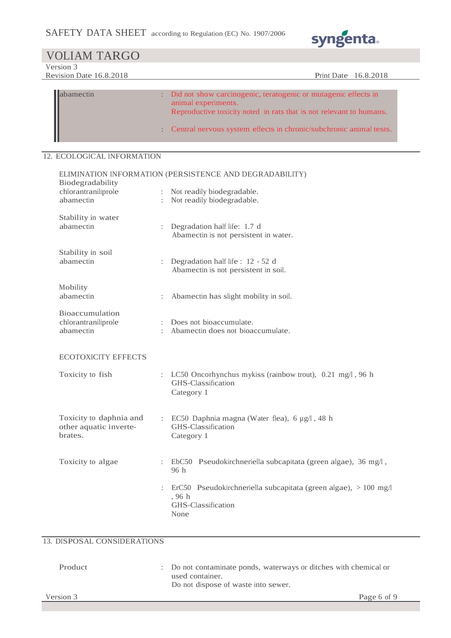

Version 3

Revision Date 16.8.2018 Print Date 16.8.2018

| abamectin | Did not show carcinogenic, teratogenic or mutagenic effects in<br>animal experiments.<br>Reproductive toxicity noted in rats that is not relevant to humans. |
|-----------|--------------------------------------------------------------------------------------------------------------------------------------------------------------|
|           | : Central nervous system effects in chronic/subchronic animal tests.                                                                                         |

## 12. ECOLOGICAL INFORMATION

| ELIMINATION INFORMATION (PERSISTENCE AND DEGRADABILITY)      |                      |                                                                                                         |
|--------------------------------------------------------------|----------------------|---------------------------------------------------------------------------------------------------------|
| Biodegradability<br>chlorantraniliprole<br>abamectin         | $\ddot{\cdot}$       | : Not readily biodegradable.<br>Not readily biodegradable.                                              |
| Stability in water<br>abamectin                              |                      | Degradation half life: 1.7 d<br>Abamectin is not persistent in water.                                   |
| Stability in soil<br>abamectin                               | $\ddot{\cdot}$       | Degradation half life : 12 - 52 d<br>Abamectin is not persistent in soil.                               |
| Mobility<br>abamectin                                        |                      | Abamectin has slight mobility in soil.                                                                  |
| Bioaccumulation<br>chlorantraniliprole<br>abamectin          | $\ddot{\phantom{a}}$ | Does not bioaccumulate.<br>Abamectin does not bioaccumulate.                                            |
| <b>ECOTOXICITY EFFECTS</b>                                   |                      |                                                                                                         |
| Toxicity to fish                                             | $\ddot{\cdot}$       | LC50 Oncorhynchus mykiss (rainbow trout), 0.21 mg/l, 96 h<br>GHS-Classification<br>Category 1           |
| Toxicity to daphnia and<br>other aquatic inverte-<br>brates. |                      | : EC50 Daphnia magna (Water flea), 6 µg/l, 48 h<br>GHS-Classification<br>Category 1                     |
| Toxicity to algae                                            | $\ddot{\cdot}$       | EbC50 Pseudokirchneriella subcapitata (green algae), 36 mg/l,<br>96 h                                   |
|                                                              |                      | ErC50 Pseudokirchneriella subcapitata (green algae), > 100 mg/l<br>, 96 h<br>GHS-Classification<br>None |

# 13. DISPOSAL CONSIDERATIONS

Version 3 Page 6 of 9 Product : Do not contaminate ponds, waterways or ditches with chemical or used container. Do not dispose of waste into sewer.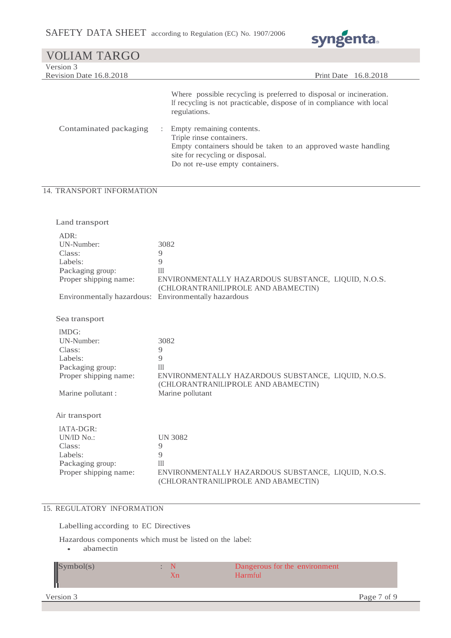

| <b>VOLIAM TARGO</b>                                                                                                                                            |                                                                                                                                                                                                                                                                                                                                                                                     |
|----------------------------------------------------------------------------------------------------------------------------------------------------------------|-------------------------------------------------------------------------------------------------------------------------------------------------------------------------------------------------------------------------------------------------------------------------------------------------------------------------------------------------------------------------------------|
| Version 3<br>Revision Date 16.8.2018                                                                                                                           | Print Date 16.8.2018                                                                                                                                                                                                                                                                                                                                                                |
| Contaminated packaging                                                                                                                                         | Where possible recycling is preferred to disposal or incineration.<br>If recycling is not practicable, dispose of in compliance with local<br>regulations.<br>Empty remaining contents.<br>$\ddot{\phantom{a}}$<br>Triple rinse containers.<br>Empty containers should be taken to an approved waste handling<br>site for recycling or disposal.<br>Do not re-use empty containers. |
| 14. TRANSPORT INFORMATION                                                                                                                                      |                                                                                                                                                                                                                                                                                                                                                                                     |
| Land transport<br>ADR:<br>UN-Number:<br>Class:<br>Labels:<br>Packaging group:<br>Proper shipping name:<br>Environmentally hazardous: Environmentally hazardous | 3082<br>9<br>$\overline{Q}$<br>III<br>ENVIRONMENTALLY HAZARDOUS SUBSTANCE, LIQUID, N.O.S.<br>(CHLORANTRANILIPROLE AND ABAMECTIN)                                                                                                                                                                                                                                                    |
| Sea transport<br>IMDG:<br>UN-Number:<br>Class:<br>Labels:<br>Packaging group:<br>Proper shipping name:<br>Marine pollutant :                                   | 3082<br>9<br>9<br>III<br>ENVIRONMENTALLY HAZARDOUS SUBSTANCE, LIQUID, N.O.S.<br>(CHLORANTRANILIPROLE AND ABAMECTIN)<br>Marine pollutant                                                                                                                                                                                                                                             |
| Air transport<br>IATA-DGR:<br>UN/ID No.:<br>Class:<br>Labels:                                                                                                  | <b>UN 3082</b><br>9<br>9                                                                                                                                                                                                                                                                                                                                                            |

#### 15. REGULATORY INFORMATION

Packaging group: III<br>Proper shipping name: EN

Labelling according to EC Directives

Hazardous components which must be listed on the label:

• abamectin

| $\sqrt{\text{Symbol(s)}}$ | Dangerous for the environment<br>Harmful |             |
|---------------------------|------------------------------------------|-------------|
| Version 3                 |                                          | Page 7 of 9 |

(CHLORANTRANILIPROLE AND ABAMECTIN)

ENVIRONMENTALLY HAZARDOUS SUBSTANCE, LIQUID, N.O.S.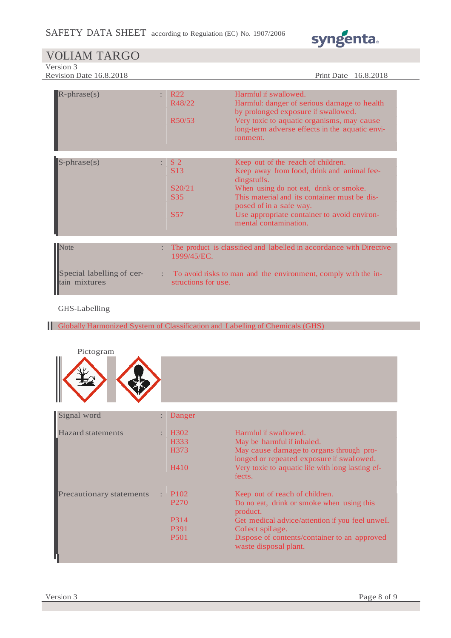

Version 3

Revision Date 16.8.2018 Print Date 16.8.2018

| $R$ -phrase $(s)$<br>÷                             | R <sub>22</sub><br>R48/22<br>R50/53                                 | Harmful if swallowed.<br>Harmful: danger of serious damage to health<br>by prolonged exposure if swallowed.<br>Very toxic to aquatic organisms, may cause<br>long-term adverse effects in the aquatic envi-<br>ronment.                                                                      |
|----------------------------------------------------|---------------------------------------------------------------------|----------------------------------------------------------------------------------------------------------------------------------------------------------------------------------------------------------------------------------------------------------------------------------------------|
| $S$ -phrase $(s)$                                  | S <sub>2</sub><br><b>S</b> 13<br>S20/21<br><b>S35</b><br><b>S57</b> | Keep out of the reach of children.<br>Keep away from food, drink and animal fee-<br>dingstuffs.<br>When using do not eat, drink or smoke.<br>This material and its container must be dis-<br>posed of in a safe way.<br>Use appropriate container to avoid environ-<br>mental contamination. |
|                                                    |                                                                     |                                                                                                                                                                                                                                                                                              |
| Note<br>Special labelling of cer-<br>tain mixtures | 1999/45/EC.<br>structions for use.                                  | The product is classified and labelled in accordance with Directive<br>To avoid risks to man and the environment, comply with the in-                                                                                                                                                        |

#### GHS-Labelling

Globally Harmonized System of Classification and Labelling of Chemicals (GHS)



| Signal word                     | ÷ | Danger            |                                                                                      |
|---------------------------------|---|-------------------|--------------------------------------------------------------------------------------|
| <b>Hazard statements</b>        |   | H <sub>3</sub> 02 | Harmful if swallowed.                                                                |
|                                 |   | H333              | May be harmful if inhaled.                                                           |
|                                 |   | H373              | May cause damage to organs through pro-<br>longed or repeated exposure if swallowed. |
|                                 |   | H410              | Very toxic to aquatic life with long lasting ef-<br>fects.                           |
| <b>Precautionary statements</b> | ÷ | P <sub>102</sub>  | Keep out of reach of children.                                                       |
|                                 |   | P <sub>270</sub>  | Do no eat, drink or smoke when using this<br>product.                                |
|                                 |   | P314              | Get medical advice/attention if you feel unwell.                                     |
|                                 |   | P391              | Collect spillage.                                                                    |
|                                 |   | <b>P501</b>       | Dispose of contents/container to an approved<br>waste disposal plant.                |